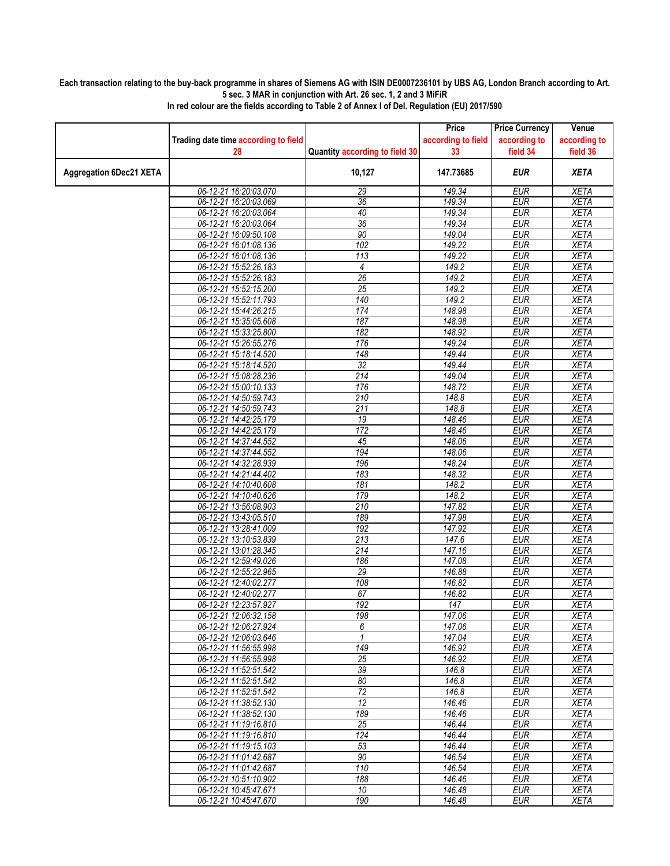## **Each transaction relating to the buy-back programme in shares of Siemens AG with ISIN DE0007236101 by UBS AG, London Branch according to Art. 5 sec. 3 MAR in conjunction with Art. 26 sec. 1, 2 and 3 MiFiR**

|                                | Trading date time according to field<br>28     | Quantity according to field 30 | Price<br>according to field<br>33 | <b>Price Currency</b><br>according to<br>field 34 | Venue<br>according to<br>field 36 |
|--------------------------------|------------------------------------------------|--------------------------------|-----------------------------------|---------------------------------------------------|-----------------------------------|
| <b>Aggregation 6Dec21 XETA</b> |                                                | 10,127                         | 147.73685                         | <b>EUR</b>                                        | <b>XETA</b>                       |
|                                | 06-12-21 16:20:03.070                          | 29                             | 149.34                            | <b>EUR</b>                                        | <b>XETA</b>                       |
|                                | 06-12-21 16:20:03.069                          | 36                             | 149.34                            | <b>EUR</b>                                        | <b>XETA</b>                       |
|                                | 06-12-21 16:20:03.064                          | 40                             | 149.34                            | <b>EUR</b>                                        | <b>XETA</b>                       |
|                                | 06-12-21 16:20:03.064                          | 36                             | 149.34                            | <b>EUR</b>                                        | <b>XETA</b>                       |
|                                | 06-12-21 16:09:50.108                          | 90                             | 149.04                            | <b>EUR</b>                                        | <b>XETA</b>                       |
|                                | 06-12-21 16:01:08.136                          | 102                            | 149.22                            | <b>EUR</b>                                        | <b>XETA</b>                       |
|                                | 06-12-21 16:01:08.136                          | 113                            | 149.22                            | <b>EUR</b>                                        | <b>XETA</b>                       |
|                                | 06-12-21 15:52:26.183                          | 4                              | 149.2                             | <b>EUR</b>                                        | <b>XETA</b>                       |
|                                | 06-12-21 15:52:26.183                          | 26                             | 149.2                             | <b>EUR</b>                                        | <b>XETA</b>                       |
|                                | 06-12-21 15:52:15.200                          | 25                             | 149.2                             | <b>EUR</b>                                        | <b>XETA</b>                       |
|                                | 06-12-21 15:52:11.793                          | 140                            | 149.2                             | <b>EUR</b>                                        | <b>XETA</b>                       |
|                                | 06-12-21 15:44:26.215                          | 174                            | 148.98                            | <b>EUR</b>                                        | <b>XETA</b>                       |
|                                | 06-12-21 15:35:05.608                          | 187                            | 148.98                            | <b>EUR</b>                                        | <b>XETA</b>                       |
|                                | 06-12-21 15:33:25.800                          | 182                            | 148.92                            | <b>EUR</b>                                        | <b>XETA</b>                       |
|                                | 06-12-21 15:26:55.276<br>06-12-21 15:18:14.520 | 176<br>148                     | 149.24<br>149.44                  | <b>EUR</b><br><b>EUR</b>                          | <b>XETA</b><br><b>XETA</b>        |
|                                | 06-12-21 15:18:14.520                          | $\overline{32}$                | 149.44                            | <b>EUR</b>                                        | <b>XETA</b>                       |
|                                | 06-12-21 15:08:28.236                          | 214                            | 149.04                            | <b>EUR</b>                                        | <b>XETA</b>                       |
|                                | 06-12-21 15:00:10.133                          | 176                            | 148.72                            | <b>EUR</b>                                        | <b>XETA</b>                       |
|                                | 06-12-21 14:50:59.743                          | 210                            | 148.8                             | <b>EUR</b>                                        | <b>XETA</b>                       |
|                                | 06-12-21 14:50:59.743                          | 211                            | 148.8                             | <b>EUR</b>                                        | <b>XETA</b>                       |
|                                | 06-12-21 14:42:25.179                          | 19                             | 148.46                            | <b>EUR</b>                                        | <b>XETA</b>                       |
|                                | 06-12-21 14:42:25.179                          | 172                            | 148.46                            | <b>EUR</b>                                        | <b>XETA</b>                       |
|                                | 06-12-21 14:37:44.552                          | 45                             | 148.06                            | <b>EUR</b>                                        | <b>XETA</b>                       |
|                                | 06-12-21 14:37:44.552                          | 194                            | 148.06                            | <b>EUR</b>                                        | <b>XETA</b>                       |
|                                | 06-12-21 14:32:28.939                          | 196                            | 148.24                            | <b>EUR</b>                                        | <b>XETA</b>                       |
|                                | 06-12-21 14:21:44.402                          | 183                            | 148.32                            | <b>EUR</b>                                        | <b>XETA</b>                       |
|                                | 06-12-21 14:10:40.608                          | 181                            | 148.2                             | <b>EUR</b>                                        | <b>XETA</b>                       |
|                                | 06-12-21 14:10:40.626                          | 179                            | 148.2                             | <b>EUR</b>                                        | <b>XETA</b>                       |
|                                | 06-12-21 13:56:08.903                          | 210                            | 147.82                            | <b>EUR</b>                                        | <b>XETA</b>                       |
|                                | 06-12-21 13:43:05.510                          | 189                            | 147.98                            | <b>EUR</b>                                        | <b>XETA</b>                       |
|                                | 06-12-21 13:28:41.009                          | 192                            | 147.92                            | <b>EUR</b>                                        | <b>XETA</b>                       |
|                                | 06-12-21 13:10:53.839                          | 213                            | 147.6                             | <b>EUR</b>                                        | <b>XETA</b>                       |
|                                | 06-12-21 13:01:28.345                          | 214                            | 147.16                            | <b>EUR</b>                                        | <b>XETA</b>                       |
|                                | 06-12-21 12:59:49.026                          | 186<br>$\overline{29}$         | 147.08                            | <b>EUR</b><br><b>EUR</b>                          | <b>XETA</b>                       |
|                                | 06-12-21 12:55:22.965<br>06-12-21 12:40:02.277 | 108                            | 146.88<br>146.82                  | <b>EUR</b>                                        | <b>XETA</b><br><b>XETA</b>        |
|                                | 06-12-21 12:40:02.277                          | 67                             | 146.82                            | EUR                                               | <b>XETA</b>                       |
|                                | 06-12-21 12:23:57.927                          | 192                            | 147                               | <b>EUR</b>                                        | <b>XETA</b>                       |
|                                | 06-12-21 12:06:32.158                          | 198                            | 147.06                            | <b>EUR</b>                                        | <b>XETA</b>                       |
|                                | 06-12-21 12:06:27.924                          | 6                              | 147.06                            | EUR                                               | <b>XETA</b>                       |
|                                | 06-12-21 12:06:03.646                          | $\mathbf{1}$                   | 147.04                            | <b>EUR</b>                                        | <b>XETA</b>                       |
|                                | 06-12-21 11:56:55.998                          | 149                            | 146.92                            | <b>EUR</b>                                        | <b>XETA</b>                       |
|                                | 06-12-21 11:56:55.998                          | 25                             | 146.92                            | <b>EUR</b>                                        | <b>XETA</b>                       |
|                                | 06-12-21 11:52:51.542                          | $\overline{39}$                | 146.8                             | <b>EUR</b>                                        | <b>XETA</b>                       |
|                                | 06-12-21 11:52:51.542                          | 80                             | 146.8                             | <b>EUR</b>                                        | <b>XETA</b>                       |
|                                | 06-12-21 11:52:51.542                          | 72                             | 146.8                             | <b>EUR</b>                                        | XETA                              |
|                                | 06-12-21 11:38:52.130                          | $\overline{12}$                | 146.46                            | <b>EUR</b>                                        | <b>XETA</b>                       |
|                                | 06-12-21 11:38:52.130                          | 189                            | 146.46                            | <b>EUR</b>                                        | XETA                              |
|                                | 06-12-21 11:19:16.810                          | 25                             | 146.44                            | <b>EUR</b>                                        | <b>XETA</b>                       |
|                                | 06-12-21 11:19:16.810                          | 124                            | 146.44                            | <b>EUR</b>                                        | <b>XETA</b>                       |
|                                | 06-12-21 11:19:15.103                          | 53                             | 146.44                            | <b>EUR</b>                                        | XETA                              |
|                                | 06-12-21 11:01:42.687                          | 90                             | 146.54                            | <b>EUR</b>                                        | <b>XETA</b>                       |
|                                | 06-12-21 11:01:42.687                          | 110                            | 146.54                            | <b>EUR</b>                                        | <b>XETA</b>                       |
|                                | 06-12-21 10:51:10.902                          | 188                            | 146.46                            | <b>EUR</b>                                        | XETA                              |
|                                | 06-12-21 10:45:47.671<br>06-12-21 10:45:47.670 | 10<br>190                      | 146.48<br>146.48                  | <b>EUR</b><br><b>EUR</b>                          | <b>XETA</b><br><b>XETA</b>        |
|                                |                                                |                                |                                   |                                                   |                                   |

**In red colour are the fields according to Table 2 of Annex I of Del. Regulation (EU) 2017/590**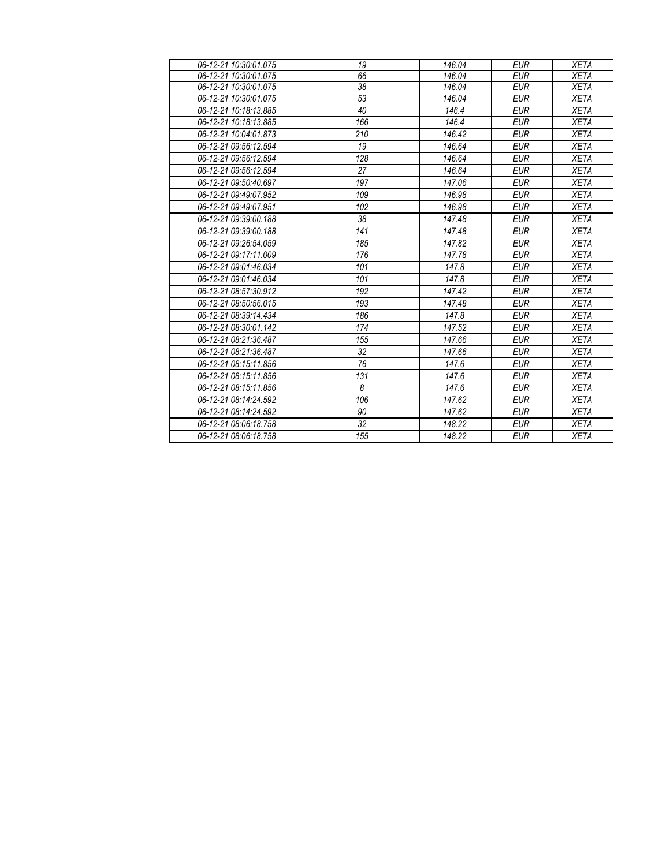| 06-12-21 10:30:01.075 | 19              | 146.04 | <b>EUR</b> | <b>XETA</b> |
|-----------------------|-----------------|--------|------------|-------------|
| 06-12-21 10:30:01.075 | 66              | 146.04 | <b>EUR</b> | <b>XETA</b> |
| 06-12-21 10:30:01.075 | $\overline{38}$ | 146.04 | <b>EUR</b> | <b>XETA</b> |
| 06-12-21 10:30:01.075 | 53              | 146.04 | <b>EUR</b> | <b>XETA</b> |
| 06-12-21 10:18:13.885 | 40              | 146.4  | <b>EUR</b> | <b>XETA</b> |
| 06-12-21 10:18:13.885 | 166             | 146.4  | <b>EUR</b> | <b>XETA</b> |
| 06-12-21 10:04:01.873 | 210             | 146.42 | <b>EUR</b> | <b>XETA</b> |
| 06-12-21 09:56:12.594 | 19              | 146.64 | <b>EUR</b> | <b>XETA</b> |
| 06-12-21 09:56:12.594 | 128             | 146.64 | <b>EUR</b> | <b>XETA</b> |
| 06-12-21 09:56:12.594 | 27              | 146.64 | <b>EUR</b> | <b>XETA</b> |
| 06-12-21 09:50:40.697 | 197             | 147.06 | <b>EUR</b> | <b>XETA</b> |
| 06-12-21 09:49:07.952 | 109             | 146.98 | <b>EUR</b> | <b>XETA</b> |
| 06-12-21 09:49:07.951 | 102             | 146.98 | <b>EUR</b> | <b>XETA</b> |
| 06-12-21 09:39:00.188 | 38              | 147.48 | <b>EUR</b> | <b>XETA</b> |
| 06-12-21 09:39:00.188 | 141             | 147.48 | <b>EUR</b> | <b>XETA</b> |
| 06-12-21 09:26:54.059 | 185             | 147.82 | <b>EUR</b> | <b>XETA</b> |
| 06-12-21 09:17:11.009 | 176             | 147.78 | <b>EUR</b> | <b>XETA</b> |
| 06-12-21 09:01:46.034 | 101             | 147.8  | <b>EUR</b> | <b>XETA</b> |
| 06-12-21 09:01:46.034 | 101             | 147.8  | <b>EUR</b> | <b>XETA</b> |
| 06-12-21 08:57:30.912 | 192             | 147.42 | <b>EUR</b> | <b>XETA</b> |
| 06-12-21 08:50:56.015 | 193             | 147.48 | <b>EUR</b> | <b>XETA</b> |
| 06-12-21 08:39:14.434 | 186             | 147.8  | <b>EUR</b> | <b>XETA</b> |
| 06-12-21 08:30:01.142 | 174             | 147.52 | <b>EUR</b> | <b>XETA</b> |
| 06-12-21 08:21:36.487 | 155             | 147.66 | <b>EUR</b> | <b>XETA</b> |
| 06-12-21 08:21:36.487 | 32              | 147.66 | <b>EUR</b> | <b>XETA</b> |
| 06-12-21 08:15:11.856 | 76              | 147.6  | <b>EUR</b> | <b>XETA</b> |
| 06-12-21 08:15:11.856 | 131             | 147.6  | <b>EUR</b> | <b>XETA</b> |
| 06-12-21 08:15:11.856 | 8               | 147.6  | <b>EUR</b> | <b>XETA</b> |
| 06-12-21 08:14:24.592 | 106             | 147.62 | <b>EUR</b> | <b>XETA</b> |
| 06-12-21 08:14:24.592 | 90              | 147.62 | <b>EUR</b> | <b>XETA</b> |
| 06-12-21 08:06:18.758 | 32              | 148.22 | <b>EUR</b> | <b>XETA</b> |
| 06-12-21 08:06:18.758 | 155             | 148.22 | <b>EUR</b> | <b>XETA</b> |
|                       |                 |        |            |             |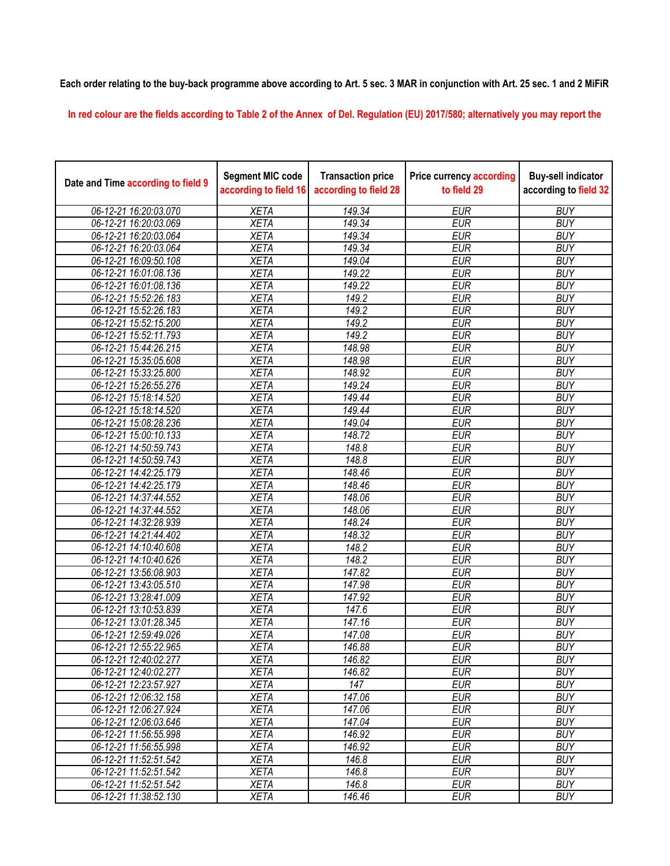## **Each order relating to the buy-back programme above according to Art. 5 sec. 3 MAR in conjunction with Art. 25 sec. 1 and 2 MiFiR**

**In red colour are the fields according to Table 2 of the Annex of Del. Regulation (EU) 2017/580; alternatively you may report the** 

| Date and Time according to field 9 | <b>Segment MIC code</b><br>according to field 16 | <b>Transaction price</b><br>according to field 28 | <b>Price currency according</b><br>to field 29 | <b>Buy-sell indicator</b><br>according to field 32 |
|------------------------------------|--------------------------------------------------|---------------------------------------------------|------------------------------------------------|----------------------------------------------------|
| 06-12-21 16:20:03.070              | <b>XETA</b>                                      | 149.34                                            | <b>EUR</b>                                     | <b>BUY</b>                                         |
| 06-12-21 16:20:03.069              | <b>XETA</b>                                      | 149.34                                            | <b>EUR</b>                                     | <b>BUY</b>                                         |
| 06-12-21 16:20:03.064              | <b>XETA</b>                                      | 149.34                                            | <b>EUR</b>                                     | <b>BUY</b>                                         |
| 06-12-21 16:20:03.064              | <b>XETA</b>                                      | 149.34                                            | <b>EUR</b>                                     | <b>BUY</b>                                         |
| 06-12-21 16:09:50.108              | <b>XETA</b>                                      | 149.04                                            | <b>EUR</b>                                     | <b>BUY</b>                                         |
| 06-12-21 16:01:08.136              | <b>XETA</b>                                      | 149.22                                            | <b>EUR</b>                                     | <b>BUY</b>                                         |
| 06-12-21 16:01:08.136              | <b>XETA</b>                                      | 149.22                                            | <b>EUR</b>                                     | <b>BUY</b>                                         |
| 06-12-21 15:52:26.183              | <b>XETA</b>                                      | 149.2                                             | <b>EUR</b>                                     | <b>BUY</b>                                         |
| 06-12-21 15:52:26.183              | <b>XETA</b>                                      | 149.2                                             | <b>EUR</b>                                     | <b>BUY</b>                                         |
| 06-12-21 15:52:15.200              | <b>XETA</b>                                      | 149.2                                             | <b>EUR</b>                                     | <b>BUY</b>                                         |
| 06-12-21 15:52:11.793              | <b>XETA</b>                                      | 149.2                                             | <b>EUR</b>                                     | <b>BUY</b>                                         |
| 06-12-21 15:44:26.215              | <b>XETA</b>                                      | 148.98                                            | <b>EUR</b>                                     | <b>BUY</b>                                         |
| 06-12-21 15:35:05.608              | <b>XETA</b>                                      | 148.98                                            | <b>EUR</b>                                     | <b>BUY</b>                                         |
| 06-12-21 15:33:25.800              | <b>XETA</b>                                      | 148.92                                            | <b>EUR</b>                                     | <b>BUY</b>                                         |
| 06-12-21 15:26:55.276              | <b>XETA</b>                                      | 149.24                                            | <b>EUR</b>                                     | <b>BUY</b>                                         |
| 06-12-21 15:18:14.520              | <b>XETA</b>                                      | 149.44                                            | <b>EUR</b>                                     | <b>BUY</b>                                         |
| 06-12-21 15:18:14.520              | <b>XETA</b>                                      | 149.44                                            | <b>EUR</b>                                     | <b>BUY</b>                                         |
| 06-12-21 15:08:28.236              | <b>XETA</b>                                      | 149.04                                            | <b>EUR</b>                                     | <b>BUY</b>                                         |
| 06-12-21 15:00:10.133              | <b>XETA</b>                                      | 148.72                                            | <b>EUR</b>                                     | <b>BUY</b>                                         |
| 06-12-21 14:50:59.743              | <b>XETA</b>                                      | 148.8                                             | <b>EUR</b>                                     | <b>BUY</b>                                         |
| 06-12-21 14:50:59.743              | <b>XETA</b>                                      | 148.8                                             | <b>EUR</b>                                     | <b>BUY</b>                                         |
| 06-12-21 14:42:25.179              | <b>XETA</b>                                      | 148.46                                            | <b>EUR</b>                                     | <b>BUY</b>                                         |
| 06-12-21 14:42:25.179              | <b>XETA</b>                                      | 148.46                                            | <b>EUR</b>                                     | <b>BUY</b>                                         |
| 06-12-21 14:37:44.552              | <b>XETA</b>                                      | 148.06                                            | <b>EUR</b>                                     | <b>BUY</b>                                         |
| 06-12-21 14:37:44.552              | <b>XETA</b>                                      | 148.06                                            | <b>EUR</b>                                     | <b>BUY</b>                                         |
| 06-12-21 14:32:28.939              | <b>XETA</b>                                      | 148.24                                            | <b>EUR</b>                                     | <b>BUY</b>                                         |
| 06-12-21 14:21:44.402              | <b>XETA</b>                                      | 148.32                                            | <b>EUR</b>                                     | <b>BUY</b>                                         |
| 06-12-21 14:10:40.608              | <b>XETA</b>                                      | 148.2                                             | <b>EUR</b>                                     | <b>BUY</b>                                         |
| 06-12-21 14:10:40.626              | <b>XETA</b>                                      | 148.2                                             | <b>EUR</b>                                     | <b>BUY</b>                                         |
| 06-12-21 13:56:08.903              | <b>XETA</b>                                      | 147.82                                            | <b>EUR</b>                                     | <b>BUY</b>                                         |
| 06-12-21 13:43:05.510              | <b>XETA</b>                                      | 147.98                                            | <b>EUR</b>                                     | <b>BUY</b>                                         |
| 06-12-21 13:28:41.009              | <b>XETA</b>                                      | 147.92                                            | <b>EUR</b>                                     | <b>BUY</b>                                         |
| 06-12-21 13:10:53.839              | <b>XETA</b>                                      | 147.6                                             | <b>EUR</b>                                     | <b>BUY</b>                                         |
| 06-12-21 13:01:28.345              | <b>XETA</b>                                      | 147.16                                            | <b>EUR</b>                                     | <b>BUY</b>                                         |
| 06-12-21 12:59:49.026              | <b>XETA</b>                                      | 147.08                                            | <b>EUR</b>                                     | <b>BUY</b>                                         |
| 06-12-21 12:55:22.965              | <b>XETA</b>                                      | 146.88                                            | <b>EUR</b>                                     | <b>BUY</b>                                         |
| 06-12-21 12:40:02.277              | XETA                                             | 146.82                                            | EUR                                            | <b>BUY</b>                                         |
| 06-12-21 12:40:02.277              | <b>XETA</b>                                      | 146.82                                            | <b>EUR</b>                                     | <b>BUY</b>                                         |
| 06-12-21 12:23:57.927              | <b>XETA</b>                                      | 147                                               | <b>EUR</b>                                     | <b>BUY</b>                                         |
| 06-12-21 12:06:32.158              | <b>XETA</b>                                      | 147.06                                            | <b>EUR</b>                                     | <b>BUY</b>                                         |
| 06-12-21 12:06:27.924              | <b>XETA</b>                                      | 147.06                                            | <b>EUR</b>                                     | <b>BUY</b>                                         |
| 06-12-21 12:06:03.646              | <b>XETA</b>                                      | 147.04                                            | <b>EUR</b>                                     | <b>BUY</b>                                         |
| 06-12-21 11:56:55.998              | <b>XETA</b>                                      | 146.92                                            | <b>EUR</b>                                     | <b>BUY</b>                                         |
| 06-12-21 11:56:55.998              | <b>XETA</b>                                      | 146.92                                            | <b>EUR</b>                                     | <b>BUY</b>                                         |
| 06-12-21 11:52:51.542              | <b>XETA</b>                                      | 146.8                                             | <b>EUR</b>                                     | <b>BUY</b>                                         |
| 06-12-21 11:52:51.542              | <b>XETA</b>                                      | 146.8                                             | <b>EUR</b>                                     | <b>BUY</b>                                         |
| 06-12-21 11:52:51.542              | <b>XETA</b>                                      | 146.8                                             | <b>EUR</b>                                     | <b>BUY</b>                                         |
| 06-12-21 11:38:52.130              | <b>XETA</b>                                      | 146.46                                            | <b>EUR</b>                                     | <b>BUY</b>                                         |